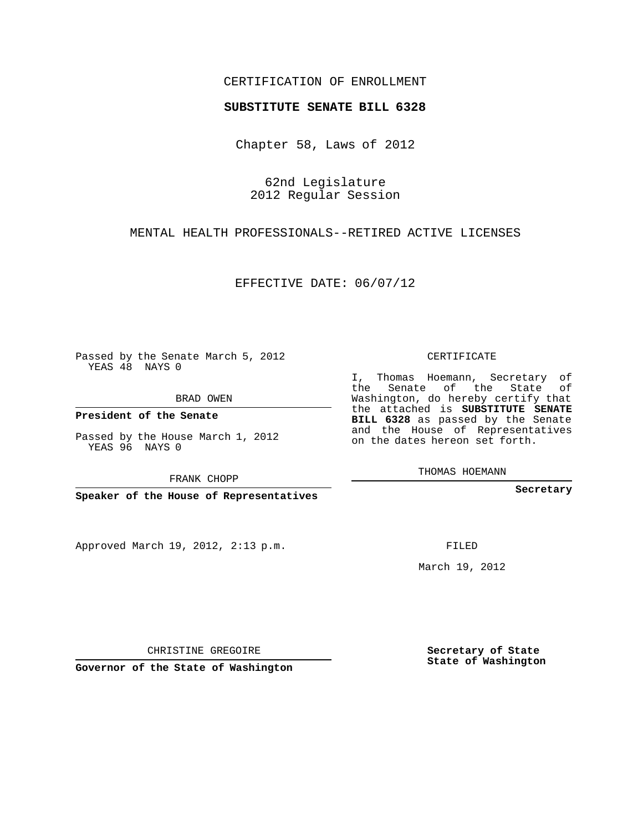## CERTIFICATION OF ENROLLMENT

## **SUBSTITUTE SENATE BILL 6328**

Chapter 58, Laws of 2012

62nd Legislature 2012 Regular Session

MENTAL HEALTH PROFESSIONALS--RETIRED ACTIVE LICENSES

EFFECTIVE DATE: 06/07/12

Passed by the Senate March 5, 2012 YEAS 48 NAYS 0

BRAD OWEN

**President of the Senate**

Passed by the House March 1, 2012 YEAS 96 NAYS 0

FRANK CHOPP

**Speaker of the House of Representatives**

Approved March 19, 2012, 2:13 p.m.

CERTIFICATE

I, Thomas Hoemann, Secretary of the Senate of the State of Washington, do hereby certify that the attached is **SUBSTITUTE SENATE BILL 6328** as passed by the Senate and the House of Representatives on the dates hereon set forth.

THOMAS HOEMANN

**Secretary**

FILED

March 19, 2012

**Secretary of State State of Washington**

CHRISTINE GREGOIRE

**Governor of the State of Washington**